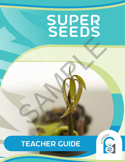# super seeds SAMPLE

# TEACHER GUIDE



**ACTIVITY 1 | SQUISHY SCIENCE | 1**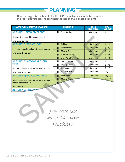**Here's a suggested schedule for this kit! The activities should be completed in order, but you can choose when the lessons take place over time.**

**PLANNING** 

| <b>ACTIVITY INFORMATION</b>                                                                                                                                | <b>SECTION(S)</b>                                  | <b>TIME</b><br><b>REQUIRED</b> | DAY/<br><b>LESSON</b> |
|------------------------------------------------------------------------------------------------------------------------------------------------------------|----------------------------------------------------|--------------------------------|-----------------------|
| <b>ACTIVITY I: SEED DIVERSITY</b>                                                                                                                          | Seed Sorting<br>П                                  | 30 minutes                     | Day 1                 |
| Discover the many differences in seeds.<br>Total time: 30 min                                                                                              |                                                    |                                |                       |
| <b>ACTIVITY 2: STICKY LEGS</b>                                                                                                                             | Pollination<br>О                                   | 15 minutes                     | Day 2                 |
| Pollinators transfer pollen with their bodies.<br>Total time: 1 h 30 min                                                                                   | П<br><b>Make Flowers</b>                           | 15 minutes                     | Day 3                 |
|                                                                                                                                                            | Make a Bee<br>П                                    | 30 minutes                     | Day 4                 |
|                                                                                                                                                            | <b>Transfer Pollen</b><br>▯                        | 15 minutes                     | Day 5                 |
|                                                                                                                                                            | Show What You Know<br>П                            | 15 minutes                     | Day 6                 |
| <b>ACTIVITY 3: MOVING WITHOUT</b><br><b>FEET</b>                                                                                                           | Ω<br>Seed Dispersal                                | 15 minutes                     | Day 7                 |
|                                                                                                                                                            | <b>Pick Up Seeds</b><br>$\Box$                     | 30 minutes                     | Day 8                 |
| Find out how seeds are dispersed by animals.                                                                                                               | Grasslands<br>О                                    | 15 minutes                     | Day 9                 |
| Total time: 1 h 15 min                                                                                                                                     | $\Box$<br>Wind or Water                            | 15 minutes                     | Day 10                |
| <b>ACTIVITY 4: EXPLODING PODS</b>                                                                                                                          | <b>Seed Pods</b><br>П                              | 15 minutes                     | Day 11                |
| Make a Grid<br>◘<br><b>Day 12</b><br>Seeds have methods of dispersals that don't<br>require other animals.<br>Total time: 1 h<br><b>ACTIVITY 5: TAKE A</b> |                                                    |                                |                       |
|                                                                                                                                                            | Full schedule<br><i>available</i> with<br>purchase |                                |                       |

 $\cdot$  Watch and Learn 30 minutes 30 minutes 30 minutes 30 minutes 30 minutes 30 minutes 30 minutes 30 minutes 30 minutes 30 minutes 30 minutes 30 minutes 30 minutes 30 minutes 30 minutes 30 minutes 30 minutes 30 minutes 30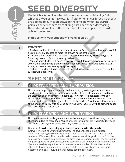# SEED DIVERSITY

**2DEDED Obleck is a type of semi-solid known as a shear-thickening fluid,** which is a type of Non-Newtonian fluid. When shear forces (stresses) **are applied to it, friction between the long, polymer-like starch particles prevent them from sliding past each other, decreasing**  the material's ability to flow. The more force is applied, the harder **oobleck becomes.**

**In this activity, your student will make oobleck.**

#### **CONTENT**

• Seeds are unique in their textures and structures. Each seed type has a purposeful design, perfectly adapted to meet the growth needs of the plant.

• The seeds your student will be sorting are wildflower seeds, which are typically found in grasslands (also known as prairies).

• You and your student will notice there are many differences between any two seeds within the packet. Some examples your student may notice include: texture, size, shape, and seeds that have spiky appendages.

• Each of these characteristics is part of the perfectly adapted design of the seed for successful plant growth.

# **SEED SORTING**

2

1

1

# **E PREPARATION AND SUPERVISION**

 $\blacksquare$  You can support your student with this activity by assisting with step 2. You can choose to use all of the seeds in your packet, if you feel your student will have the attention span and interest in doing so. However, it is not necessary to sort all the seeds. Choose a smaller fraction of the packet and be sure that you have representations of all of the types of seeds in the packet. Save the wildflower seeds at the end of this activity to be used during Activity 3. Save your white drawing paper from this activity for Activity 2. S<br>
S<br>
In this activity, your student will make oobleck.<br>
Seeds are unique in their textures and structures. Each seed type has a politically the seeds your student to meet the growth needs of the plant.<br>
The seeds your st

## 3

## preparation and supervision

 $\blacksquare$  You may need to assist your student with creating additional rows on your chart. There should be no more than 7 types of seeds in your packet. If your student does find more than 7 types of seeds, you may add onto the chart.

4

#### **Question 1: Write two things you noticed when sorting the seeds.**

**Answer:** There is no wrong answer here. The student should have noticed differences among the seeds. Even seeds that come from the same type of plant can have differences. This is similar to humans, where siblings who come from the same parents do not look identical. The differences are important for the survival of the plant species. As an example, some seeds have the adaptation of color variation. There are seed-eating animals that can see various shades of colors better than others. By having variation in color, more of the seeds are likely to survive and become new plants; thus, the plant species continues to exist.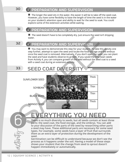### $\boxtimes$  PREPARATION AND SUPERVISION

 $\blacksquare$  The longer the seed sits in the water, the easier it will be to take off the seed coat. However, you have some flexibility to base the length of time the seed is in the water on your student's attention span and ability to wait for the seed to soak. You could explore some of the extension activities while waiting.

31

#### preparation and supervision  $|\blacktriangledown|$

 $\blacksquare$  The seed doesn't have to be completely dry. Just ensure the seed isn't dripping water.

32

6

## $\boxtimes$  PREPARATION AND SUPERVISION

 $\blacksquare$  You may want to demonstrate this step for your student. To take this activity one step further, attempt to open the seed and locate the food storage and the embryo once the seed coat is removed. Alternatively, if you don't open the seed, you can plant the seed and have students observe its growth. If you saved the lima bean seeds from Activity 4, you can compare growth of the seed without the seed coat to a seed with a seed coat during an extension activity.

#### **SEED COAT DIVERSIT** 33

#### SUNFLOWER SEED

SOYBEAN

BLACK BEAN

MANGO SEED



# everything you need

**There is so much diversity to seeds, but all seeds contain at least three parts: the seed coat, the food storage, and the embryo. You can add to your discussion of the parts of the seed by researching other parts a seed may have. These additional parts are necessary for some seed types. For example, some seeds have a layer of fruit that surrounds them as an extra layer of protection during the development of the seed.**

Germination can be difficult to understand because we don't see the **process as it happens under the soil. Having a model of these steps shows your student that the change from seed to sprout doesn't happen immediately or automatically.**